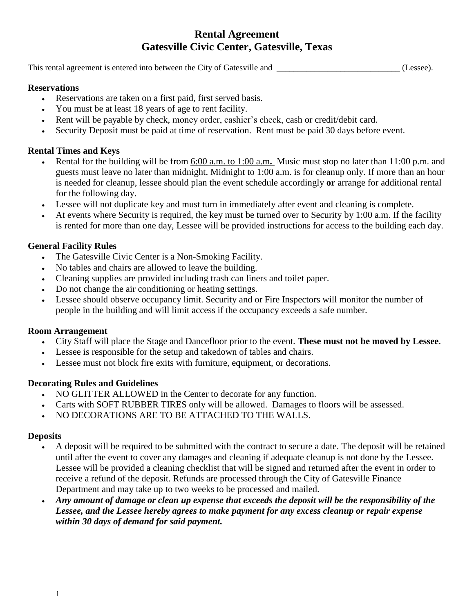# **Rental Agreement Gatesville Civic Center, Gatesville, Texas**

This rental agreement is entered into between the City of Gatesville and  $(Lessee)$ .

#### **Reservations**

- Reservations are taken on a first paid, first served basis.
- You must be at least 18 years of age to rent facility.
- Rent will be payable by check, money order, cashier's check, cash or credit/debit card.
- Security Deposit must be paid at time of reservation. Rent must be paid 30 days before event.

## **Rental Times and Keys**

- Rental for the building will be from 6:00 a.m. to 1:00 a.m**.** Music must stop no later than 11:00 p.m. and guests must leave no later than midnight. Midnight to 1:00 a.m. is for cleanup only. If more than an hour is needed for cleanup, lessee should plan the event schedule accordingly **or** arrange for additional rental for the following day.
- Lessee will not duplicate key and must turn in immediately after event and cleaning is complete.
- At events where Security is required, the key must be turned over to Security by 1:00 a.m. If the facility is rented for more than one day, Lessee will be provided instructions for access to the building each day.

#### **General Facility Rules**

- The Gatesville Civic Center is a Non-Smoking Facility.
- No tables and chairs are allowed to leave the building.
- Cleaning supplies are provided including trash can liners and toilet paper.
- Do not change the air conditioning or heating settings.
- Lessee should observe occupancy limit. Security and or Fire Inspectors will monitor the number of people in the building and will limit access if the occupancy exceeds a safe number.

#### **Room Arrangement**

- City Staff will place the Stage and Dancefloor prior to the event. **These must not be moved by Lessee**.
- Lessee is responsible for the setup and takedown of tables and chairs.
- Lessee must not block fire exits with furniture, equipment, or decorations.

#### **Decorating Rules and Guidelines**

- NO GLITTER ALLOWED in the Center to decorate for any function.
- Carts with SOFT RUBBER TIRES only will be allowed. Damages to floors will be assessed.
- NO DECORATIONS ARE TO BE ATTACHED TO THE WALLS.

#### **Deposits**

- A deposit will be required to be submitted with the contract to secure a date. The deposit will be retained until after the event to cover any damages and cleaning if adequate cleanup is not done by the Lessee. Lessee will be provided a cleaning checklist that will be signed and returned after the event in order to receive a refund of the deposit. Refunds are processed through the City of Gatesville Finance Department and may take up to two weeks to be processed and mailed.
- *Any amount of damage or clean up expense that exceeds the deposit will be the responsibility of the Lessee, and the Lessee hereby agrees to make payment for any excess cleanup or repair expense within 30 days of demand for said payment.*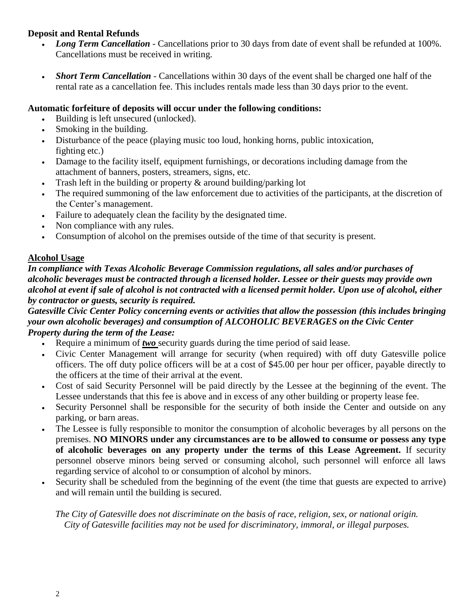## **Deposit and Rental Refunds**

- *Long Term Cancellation* Cancellations prior to 30 days from date of event shall be refunded at 100%. Cancellations must be received in writing.
- *Short Term Cancellation* Cancellations within 30 days of the event shall be charged one half of the rental rate as a cancellation fee. This includes rentals made less than 30 days prior to the event.

## **Automatic forfeiture of deposits will occur under the following conditions:**

- Building is left unsecured (unlocked).
- Smoking in the building.
- Disturbance of the peace (playing music too loud, honking horns, public intoxication, fighting etc.)
- Damage to the facility itself, equipment furnishings, or decorations including damage from the attachment of banners, posters, streamers, signs, etc.
- Trash left in the building or property & around building/parking lot
- The required summoning of the law enforcement due to activities of the participants, at the discretion of the Center's management.
- Failure to adequately clean the facility by the designated time.
- Non compliance with any rules.
- Consumption of alcohol on the premises outside of the time of that security is present.

# **Alcohol Usage**

*In compliance with Texas Alcoholic Beverage Commission regulations, all sales and/or purchases of alcoholic beverages must be contracted through a licensed holder. Lessee or their guests may provide own alcohol at event if sale of alcohol is not contracted with a licensed permit holder. Upon use of alcohol, either by contractor or guests, security is required.*

#### *Gatesville Civic Center Policy concerning events or activities that allow the possession (this includes bringing your own alcoholic beverages) and consumption of ALCOHOLIC BEVERAGES on the Civic Center Property during the term of the Lease:*

- Require a minimum of *two* security guards during the time period of said lease.
- Civic Center Management will arrange for security (when required) with off duty Gatesville police officers. The off duty police officers will be at a cost of \$45.00 per hour per officer, payable directly to the officers at the time of their arrival at the event.
- Cost of said Security Personnel will be paid directly by the Lessee at the beginning of the event. The Lessee understands that this fee is above and in excess of any other building or property lease fee.
- Security Personnel shall be responsible for the security of both inside the Center and outside on any parking, or barn areas.
- The Lessee is fully responsible to monitor the consumption of alcoholic beverages by all persons on the premises. **NO MINORS under any circumstances are to be allowed to consume or possess any type of alcoholic beverages on any property under the terms of this Lease Agreement.** If security personnel observe minors being served or consuming alcohol, such personnel will enforce all laws regarding service of alcohol to or consumption of alcohol by minors.
- Security shall be scheduled from the beginning of the event (the time that guests are expected to arrive) and will remain until the building is secured.

*The City of Gatesville does not discriminate on the basis of race, religion, sex, or national origin. City of Gatesville facilities may not be used for discriminatory, immoral, or illegal purposes.*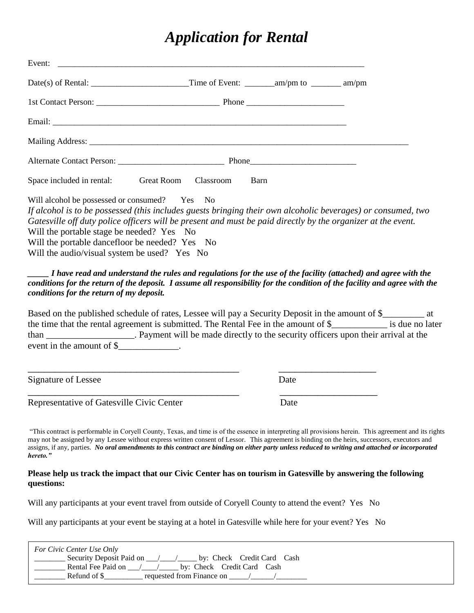# *Application for Rental*

| Space included in rental: Great Room Classroom                                                                                                                                               | Barn                                                                                                                                                                                                                         |  |
|----------------------------------------------------------------------------------------------------------------------------------------------------------------------------------------------|------------------------------------------------------------------------------------------------------------------------------------------------------------------------------------------------------------------------------|--|
| Will alcohol be possessed or consumed? Yes No<br>Will the portable stage be needed? Yes No<br>Will the portable dancefloor be needed? Yes No<br>Will the audio/visual system be used? Yes No | If alcohol is to be possessed (this includes guests bringing their own alcoholic beverages) or consumed, two<br>Gatesville off duty police officers will be present and must be paid directly by the organizer at the event. |  |

#### *\_\_\_\_\_ I have read and understand the rules and regulations for the use of the facility (attached) and agree with the conditions for the return of the deposit. I assume all responsibility for the condition of the facility and agree with the conditions for the return of my deposit.*

Based on the published schedule of rates, Lessee will pay a Security Deposit in the amount of \$\_\_\_\_\_\_\_\_\_ at the time that the rental agreement is submitted. The Rental Fee in the amount of \$\_\_\_\_\_\_\_\_\_\_\_\_ is due no later than \_\_\_\_\_\_\_\_\_\_\_\_\_\_\_\_\_\_\_. Payment will be made directly to the security officers upon their arrival at the event in the amount of \$

Signature of Lessee Date

Representative of Gatesville Civic Center Date

"This contract is performable in Coryell County, Texas, and time is of the essence in interpreting all provisions herein. This agreement and its rights may not be assigned by any Lessee without express written consent of Lessor. This agreement is binding on the heirs, successors, executors and assigns, if any, parties. *No oral amendments to this contract are binding on either party unless reduced to writing and attached or incorporated hereto."*

#### **Please help us track the impact that our Civic Center has on tourism in Gatesville by answering the following questions:**

Will any participants at your event travel from outside of Coryell County to attend the event? Yes No

\_\_\_\_\_\_\_\_\_\_\_\_\_\_\_\_\_\_\_\_\_\_\_\_\_\_\_\_\_\_\_\_\_\_\_\_\_\_\_ \_\_\_\_\_\_\_\_\_\_\_\_\_\_\_\_\_\_

\_\_\_\_\_\_\_\_\_\_\_\_\_\_\_\_\_\_\_\_\_\_\_\_\_\_\_\_\_\_\_\_\_\_\_\_\_\_\_ \_\_\_\_\_\_\_\_\_\_\_\_\_\_\_\_\_\_

Will any participants at your event be staying at a hotel in Gatesville while here for your event? Yes No

| For Civic Center Use Only                              |
|--------------------------------------------------------|
| Security Deposit Paid on<br>by: Check Credit Card Cash |
| Rental Fee Paid on<br>by: Check Credit Card Cash       |
| requested from Finance on<br>Refund of \$              |